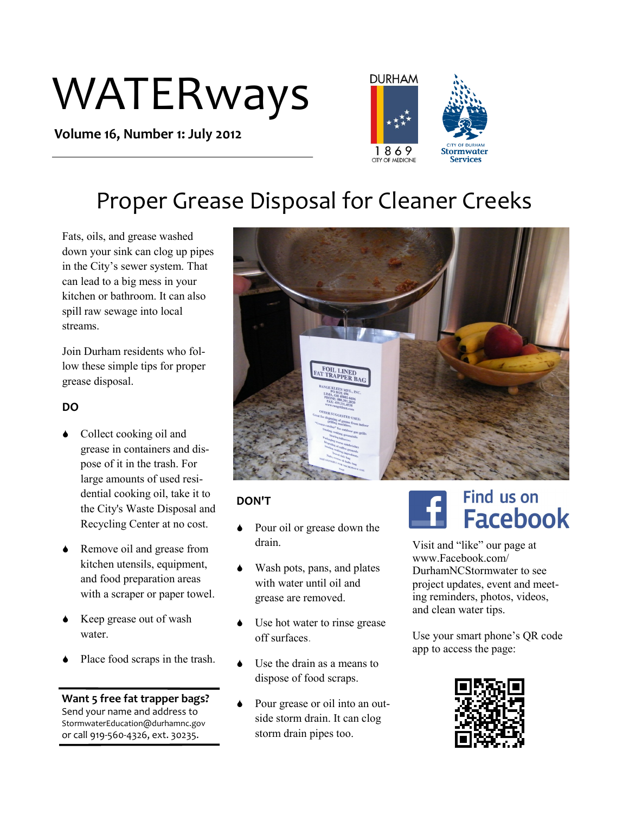# WATERways

**Volume 16, Number 1: July 2012**



## Proper Grease Disposal for Cleaner Creeks

Fats, oils, and grease washed down your sink can clog up pipes in the City's sewer system. That can lead to a big mess in your kitchen or bathroom. It can also spill raw sewage into local streams.

Join Durham residents who follow these simple tips for proper grease disposal.

## **DO**

- Collect cooking oil and grease in containers and dispose of it in the trash. For large amounts of used residential cooking oil, take it to the City's Waste Disposal and Recycling Center at no cost.
- ◆ Remove oil and grease from kitchen utensils, equipment, and food preparation areas with a scraper or paper towel.
- Keep grease out of wash water.
- Place food scraps in the trash.

### **Want 5 free fat trapper bags?**

Send your name and address to StormwaterEducation@durhamnc.gov or call 919-560-4326, ext. 30235.



## **DON'T**

- Pour oil or grease down the drain.
- Wash pots, pans, and plates with water until oil and grease are removed.
- Use hot water to rinse grease off surfaces.
- Use the drain as a means to dispose of food scraps.
- Pour grease or oil into an outside storm drain. It can clog storm drain pipes too.

## Find us on **Facebook**

Visit and "like" our page at www.Facebook.com/ DurhamNCStormwater to see project updates, event and meeting reminders, photos, videos, and clean water tips.

Use your smart phone's QR code app to access the page: